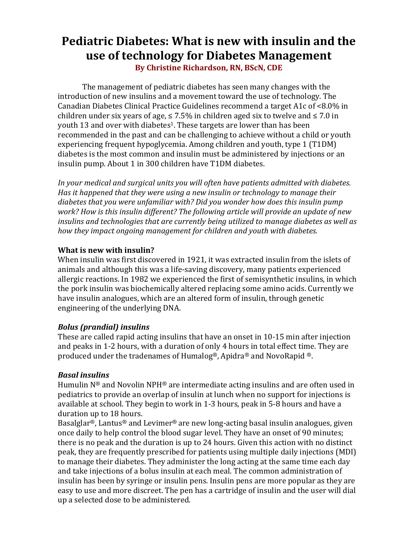# **Pediatric Diabetes: What is new with insulin and the use of technology for Diabetes Management By Christine Richardson, RN, BScN, CDE**

The management of pediatric diabetes has seen many changes with the introduction of new insulins and a movement toward the use of technology. The Canadian Diabetes Clinical Practice Guidelines recommend a target A1c of <8.0% in children under six years of age,  $\leq 7.5\%$  in children aged six to twelve and  $\leq 7.0$  in youth 13 and over with diabetes<sup>1</sup>. These targets are lower than has been recommended in the past and can be challenging to achieve without a child or youth experiencing frequent hypoglycemia. Among children and youth, type 1 (T1DM) diabetes is the most common and insulin must be administered by injections or an insulin pump. About 1 in 300 children have T1DM diabetes.

In your medical and surgical units you will often have patients admitted with diabetes. *Has* it happened that they were using a new insulin or technology to manage their diabetes that you were unfamiliar with? Did you wonder how does this insulin pump *work?* How is this insulin different? The following article will provide an update of new *insulins and technologies that are currently being utilized to manage diabetes as well as how they impact ongoing management for children and youth with diabetes.* 

## **What is new with insulin?**

When insulin was first discovered in 1921, it was extracted insulin from the islets of animals and although this was a life-saving discovery, many patients experienced allergic reactions. In 1982 we experienced the first of semisynthetic insulins, in which the pork insulin was biochemically altered replacing some amino acids. Currently we have insulin analogues, which are an altered form of insulin, through genetic engineering of the underlying DNA.

## *Bolus (prandial) insulins*

These are called rapid acting insulins that have an onset in 10-15 min after injection and peaks in 1-2 hours, with a duration of only 4 hours in total effect time. They are produced under the tradenames of Humalog®, Apidra® and NovoRapid ®.

## *Basal insulins*

Humulin  $N^{\circledR}$  and Novolin  $NPH^{\circledR}$  are intermediate acting insulins and are often used in pediatrics to provide an overlap of insulin at lunch when no support for injections is available at school. They begin to work in 1-3 hours, peak in 5-8 hours and have a duration up to 18 hours.

Basalglar<sup>®</sup>, Lantus<sup>®</sup> and Levimer<sup>®</sup> are new long-acting basal insulin analogues, given once daily to help control the blood sugar level. They have an onset of 90 minutes: there is no peak and the duration is up to 24 hours. Given this action with no distinct peak, they are frequently prescribed for patients using multiple daily injections (MDI) to manage their diabetes. They administer the long acting at the same time each day and take injections of a bolus insulin at each meal. The common administration of insulin has been by syringe or insulin pens. Insulin pens are more popular as they are easy to use and more discreet. The pen has a cartridge of insulin and the user will dial up a selected dose to be administered.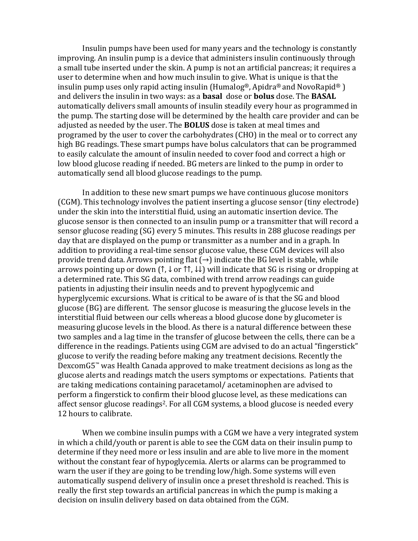Insulin pumps have been used for many years and the technology is constantly improving. An insulin pump is a device that administers insulin continuously through a small tube inserted under the skin. A pump is not an artificial pancreas; it requires a user to determine when and how much insulin to give. What is unique is that the insulin pump uses only rapid acting insulin (Humalog®, Apidra® and NovoRapid®) and delivers the insulin in two ways: as a **basal** dose or **bolus** dose. The **BASAL** automatically delivers small amounts of insulin steadily every hour as programmed in the pump. The starting dose will be determined by the health care provider and can be adjusted as needed by the user. The **BOLUS** dose is taken at meal times and programed by the user to cover the carbohydrates (CHO) in the meal or to correct any high BG readings. These smart pumps have bolus calculators that can be programmed to easily calculate the amount of insulin needed to cover food and correct a high or low blood glucose reading if needed. BG meters are linked to the pump in order to automatically send all blood glucose readings to the pump.

In addition to these new smart pumps we have continuous glucose monitors (CGM). This technology involves the patient inserting a glucose sensor (tiny electrode) under the skin into the interstitial fluid, using an automatic insertion device. The glucose sensor is then connected to an insulin pump or a transmitter that will record a sensor glucose reading (SG) every 5 minutes. This results in 288 glucose readings per day that are displayed on the pump or transmitter as a number and in a graph. In addition to providing a real-time sensor glucose value, these CGM devices will also provide trend data. Arrows pointing flat  $(\rightarrow)$  indicate the BG level is stable, while arrows pointing up or down  $(†, \downarrow$  or  $\uparrow \uparrow, \downarrow \downarrow$ ) will indicate that SG is rising or dropping at a determined rate. This SG data, combined with trend arrow readings can guide patients in adjusting their insulin needs and to prevent hypoglycemic and hyperglycemic excursions. What is critical to be aware of is that the SG and blood glucose (BG) are different. The sensor glucose is measuring the glucose levels in the interstitial fluid between our cells whereas a blood glucose done by glucometer is measuring glucose levels in the blood. As there is a natural difference between these two samples and a lag time in the transfer of glucose between the cells, there can be a difference in the readings. Patients using CGM are advised to do an actual "fingerstick" glucose to verify the reading before making any treatment decisions. Recently the Dexcom $G5^m$  was Health Canada approved to make treatment decisions as long as the glucose alerts and readings match the users symptoms or expectations. Patients that are taking medications containing paracetamol/acetaminophen are advised to perform a fingerstick to confirm their blood glucose level, as these medications can affect sensor glucose readings<sup>2</sup>. For all CGM systems, a blood glucose is needed every 12 hours to calibrate.

When we combine insulin pumps with a CGM we have a very integrated system in which a child/youth or parent is able to see the  $CGM$  data on their insulin pump to determine if they need more or less insulin and are able to live more in the moment without the constant fear of hypoglycemia. Alerts or alarms can be programmed to warn the user if they are going to be trending low/high. Some systems will even automatically suspend delivery of insulin once a preset threshold is reached. This is really the first step towards an artificial pancreas in which the pump is making a decision on insulin delivery based on data obtained from the CGM.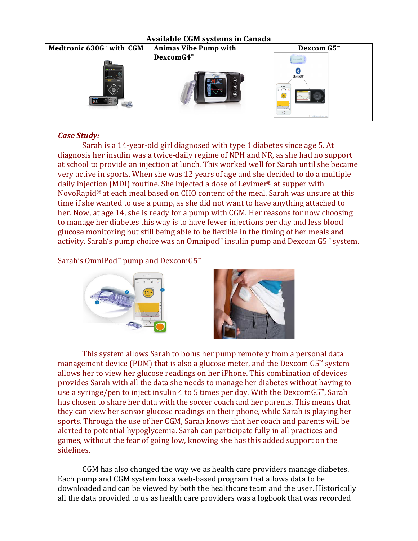

## *Case Study:*

Sarah is a 14-year-old girl diagnosed with type 1 diabetes since age 5. At diagnosis her insulin was a twice-daily regime of NPH and NR, as she had no support at school to provide an injection at lunch. This worked well for Sarah until she became very active in sports. When she was 12 years of age and she decided to do a multiple daily injection (MDI) routine. She injected a dose of Levimer<sup>®</sup> at supper with NovoRapid<sup>®</sup> at each meal based on CHO content of the meal. Sarah was unsure at this time if she wanted to use a pump, as she did not want to have anything attached to her. Now, at age 14, she is ready for a pump with CGM. Her reasons for now choosing to manage her diabetes this way is to have fewer injections per day and less blood glucose monitoring but still being able to be flexible in the timing of her meals and activity. Sarah's pump choice was an Omnipod<sup>™</sup> insulin pump and Dexcom  $G5^{\omega}$  system.

## Sarah's OmniPod™ pump and DexcomG5™





This system allows Sarah to bolus her pump remotely from a personal data management device (PDM) that is also a glucose meter, and the Dexcom  $G5^{\omega}$  system allows her to view her glucose readings on her iPhone. This combination of devices provides Sarah with all the data she needs to manage her diabetes without having to use a syringe/pen to inject insulin 4 to 5 times per day. With the  $DexcomG5^{\prime\prime}$ , Sarah has chosen to share her data with the soccer coach and her parents. This means that they can view her sensor glucose readings on their phone, while Sarah is playing her sports. Through the use of her CGM, Sarah knows that her coach and parents will be alerted to potential hypoglycemia. Sarah can participate fully in all practices and games, without the fear of going low, knowing she has this added support on the sidelines. 

CGM has also changed the way we as health care providers manage diabetes. Each pump and CGM system has a web-based program that allows data to be downloaded and can be viewed by both the healthcare team and the user. Historically all the data provided to us as health care providers was a logbook that was recorded